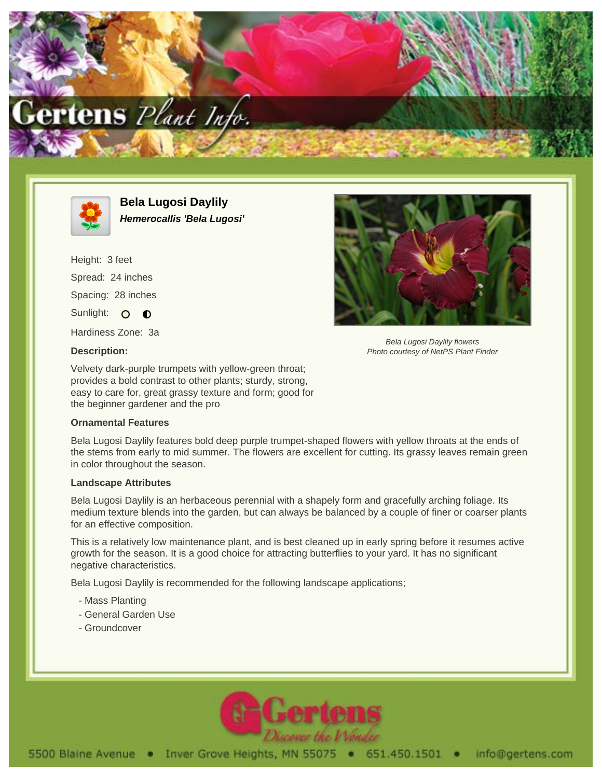



**Bela Lugosi Daylily Hemerocallis 'Bela Lugosi'**

Height: 3 feet Spread: 24 inches Spacing: 28 inches Sunlight: O O

Hardiness Zone: 3a

## **Description:**

Bela Lugosi Daylily flowers Photo courtesy of NetPS Plant Finder

Velvety dark-purple trumpets with yellow-green throat; provides a bold contrast to other plants; sturdy, strong, easy to care for, great grassy texture and form; good for the beginner gardener and the pro

## **Ornamental Features**

Bela Lugosi Daylily features bold deep purple trumpet-shaped flowers with yellow throats at the ends of the stems from early to mid summer. The flowers are excellent for cutting. Its grassy leaves remain green in color throughout the season.

## **Landscape Attributes**

Bela Lugosi Daylily is an herbaceous perennial with a shapely form and gracefully arching foliage. Its medium texture blends into the garden, but can always be balanced by a couple of finer or coarser plants for an effective composition.

This is a relatively low maintenance plant, and is best cleaned up in early spring before it resumes active growth for the season. It is a good choice for attracting butterflies to your yard. It has no significant negative characteristics.

Bela Lugosi Daylily is recommended for the following landscape applications;

- Mass Planting
- General Garden Use
- Groundcover